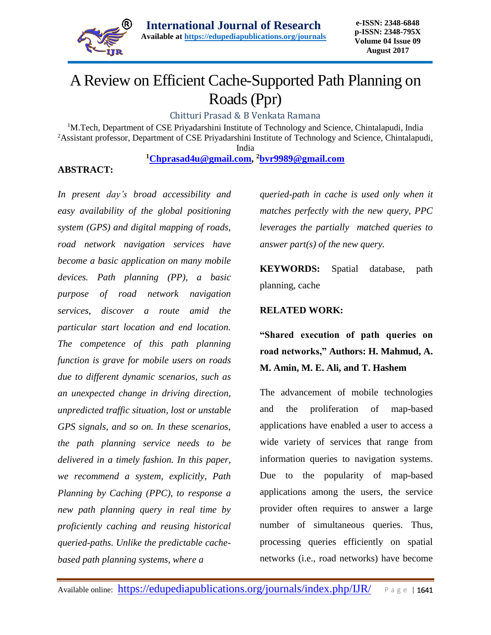

# A Review on Efficient Cache-Supported Path Planning on Roads (Ppr)

Chitturi Prasad & B Venkata Ramana

<sup>1</sup>M.Tech, Department of CSE Priyadarshini Institute of Technology and Science, Chintalapudi, India <sup>2</sup>Assistant professor, Department of CSE Priyadarshini Institute of Technology and Science, Chintalapudi,

India

**<sup>1</sup>[Chprasad4u@gmail.com,](mailto:Chprasad4u@gmail.com) <sup>2</sup>[bvr9989@gmail.com](mailto:bvr9989@gmail.com)**

## **ABSTRACT:**

*In present day's broad accessibility and easy availability of the global positioning system (GPS) and digital mapping of roads, road network navigation services have become a basic application on many mobile devices. Path planning (PP), a basic purpose of road network navigation services, discover a route amid the particular start location and end location. The competence of this path planning function is grave for mobile users on roads due to different dynamic scenarios, such as an unexpected change in driving direction, unpredicted traffic situation, lost or unstable GPS signals, and so on. In these scenarios, the path planning service needs to be delivered in a timely fashion. In this paper, we recommend a system, explicitly, Path Planning by Caching (PPC), to response a new path planning query in real time by proficiently caching and reusing historical queried-paths. Unlike the predictable cachebased path planning systems, where a* 

*queried-path in cache is used only when it matches perfectly with the new query, PPC leverages the partially matched queries to answer part(s) of the new query.* 

**KEYWORDS:** Spatial database, path planning, cache

#### **RELATED WORK:**

**"Shared execution of path queries on road networks," Authors: H. Mahmud, A. M. Amin, M. E. Ali, and T. Hashem**

The advancement of mobile technologies and the proliferation of map-based applications have enabled a user to access a wide variety of services that range from information queries to navigation systems. Due to the popularity of map-based applications among the users, the service provider often requires to answer a large number of simultaneous queries. Thus, processing queries efficiently on spatial networks (i.e., road networks) have become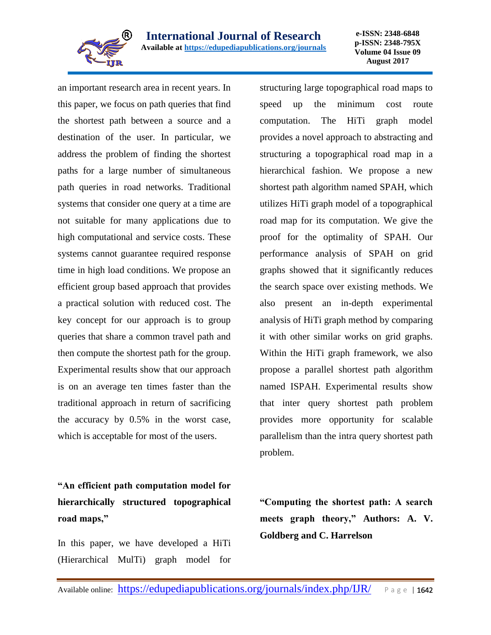

**e-ISSN: 2348-6848 p-ISSN: 2348-795X Volume 04 Issue 09 August 2017**

an important research area in recent years. In this paper, we focus on path queries that find the shortest path between a source and a destination of the user. In particular, we address the problem of finding the shortest paths for a large number of simultaneous path queries in road networks. Traditional systems that consider one query at a time are not suitable for many applications due to high computational and service costs. These systems cannot guarantee required response time in high load conditions. We propose an efficient group based approach that provides a practical solution with reduced cost. The key concept for our approach is to group queries that share a common travel path and then compute the shortest path for the group. Experimental results show that our approach is on an average ten times faster than the traditional approach in return of sacrificing the accuracy by 0.5% in the worst case, which is acceptable for most of the users.

**"An efficient path computation model for hierarchically structured topographical road maps,"**

In this paper, we have developed a HiTi (Hierarchical MulTi) graph model for

structuring large topographical road maps to speed up the minimum cost route computation. The HiTi graph model provides a novel approach to abstracting and structuring a topographical road map in a hierarchical fashion. We propose a new shortest path algorithm named SPAH, which utilizes HiTi graph model of a topographical road map for its computation. We give the proof for the optimality of SPAH. Our performance analysis of SPAH on grid graphs showed that it significantly reduces the search space over existing methods. We also present an in-depth experimental analysis of HiTi graph method by comparing it with other similar works on grid graphs. Within the HiTi graph framework, we also propose a parallel shortest path algorithm named ISPAH. Experimental results show that inter query shortest path problem provides more opportunity for scalable parallelism than the intra query shortest path problem.

**"Computing the shortest path: A search meets graph theory," Authors: A. V. Goldberg and C. Harrelson**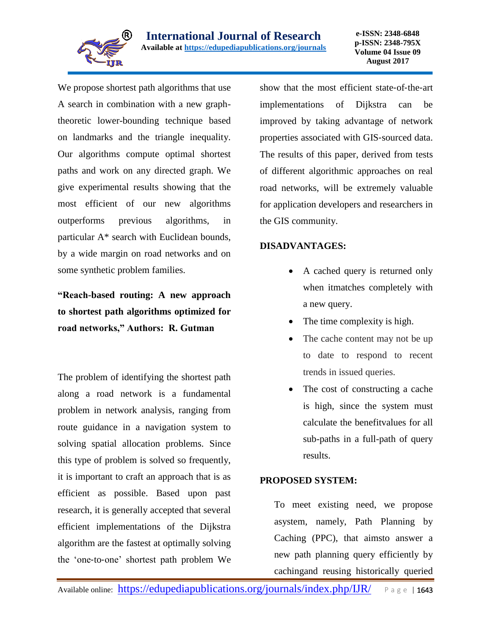

We propose shortest path algorithms that use A search in combination with a new graphtheoretic lower-bounding technique based on landmarks and the triangle inequality. Our algorithms compute optimal shortest paths and work on any directed graph. We give experimental results showing that the most efficient of our new algorithms outperforms previous algorithms, in particular A\* search with Euclidean bounds, by a wide margin on road networks and on some synthetic problem families.

**"Reach-based routing: A new approach to shortest path algorithms optimized for road networks," Authors: R. Gutman**

The problem of identifying the shortest path along a road network is a fundamental problem in network analysis, ranging from route guidance in a navigation system to solving spatial allocation problems. Since this type of problem is solved so frequently, it is important to craft an approach that is as efficient as possible. Based upon past research, it is generally accepted that several efficient implementations of the Dijkstra algorithm are the fastest at optimally solving the 'one‐to‐one' shortest path problem We

show that the most efficient state‐of‐the‐art implementations of Dijkstra can be improved by taking advantage of network properties associated with GIS‐sourced data. The results of this paper, derived from tests of different algorithmic approaches on real road networks, will be extremely valuable for application developers and researchers in the GIS community.

## **DISADVANTAGES:**

- A cached query is returned only when itmatches completely with a new query.
- The time complexity is high.
- The cache content may not be up to date to respond to recent trends in issued queries.
- The cost of constructing a cache is high, since the system must calculate the benefitvalues for all sub-paths in a full-path of query results.

# **PROPOSED SYSTEM:**

To meet existing need, we propose asystem, namely, Path Planning by Caching (PPC), that aimsto answer a new path planning query efficiently by cachingand reusing historically queried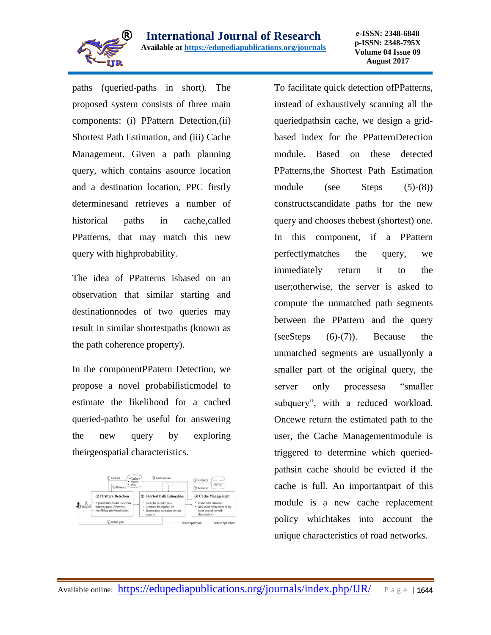

paths (queried-paths in short). The proposed system consists of three main components: (i) PPattern Detection,(ii) Shortest Path Estimation, and (iii) Cache Management. Given a path planning query, which contains asource location and a destination location, PPC firstly determinesand retrieves a number of historical paths in cache,called PPatterns, that may match this new query with highprobability.

The idea of PPatterns isbased on an observation that similar starting and destinationnodes of two queries may result in similar shortestpaths (known as the path coherence property).

In the componentPPatern Detection, we propose a novel probabilisticmodel to estimate the likelihood for a cached queried-pathto be useful for answering the new query by exploring theirgeospatial characteristics.



To facilitate quick detection ofPPatterns, instead of exhaustively scanning all the queriedpathsin cache, we design a gridbased index for the PPatternDetection module. Based on these detected PPatterns,the Shortest Path Estimation module (see Steps (5)-(8)) constructscandidate paths for the new query and chooses thebest (shortest) one. In this component, if a PPattern perfectlymatches the query, we immediately return it to the user;otherwise, the server is asked to compute the unmatched path segments between the PPattern and the query (seeSteps (6)-(7)). Because the unmatched segments are usuallyonly a smaller part of the original query, the server only processesa "smaller subquery", with a reduced workload. Oncewe return the estimated path to the user, the Cache Managementmodule is triggered to determine which queriedpathsin cache should be evicted if the cache is full. An importantpart of this module is a new cache replacement policy whichtakes into account the unique characteristics of road networks.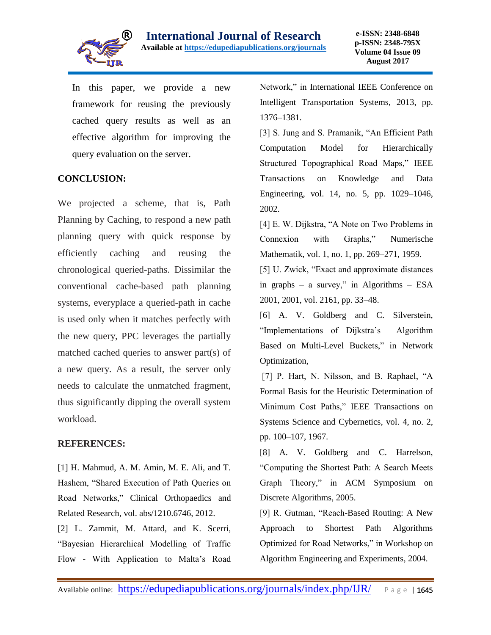

In this paper, we provide a new framework for reusing the previously cached query results as well as an effective algorithm for improving the query evaluation on the server.

## **CONCLUSION:**

We projected a scheme, that is, Path Planning by Caching, to respond a new path planning query with quick response by efficiently caching and reusing the chronological queried-paths. Dissimilar the conventional cache-based path planning systems, everyplace a queried-path in cache is used only when it matches perfectly with the new query, PPC leverages the partially matched cached queries to answer part(s) of a new query. As a result, the server only needs to calculate the unmatched fragment, thus significantly dipping the overall system workload.

#### **REFERENCES:**

[1] H. Mahmud, A. M. Amin, M. E. Ali, and T. Hashem, "Shared Execution of Path Queries on Road Networks," Clinical Orthopaedics and Related Research, vol. abs/1210.6746, 2012.

[2] L. Zammit, M. Attard, and K. Scerri, "Bayesian Hierarchical Modelling of Traffic Flow - With Application to Malta's Road Network," in International IEEE Conference on Intelligent Transportation Systems, 2013, pp. 1376–1381.

[3] S. Jung and S. Pramanik, "An Efficient Path Computation Model for Hierarchically Structured Topographical Road Maps," IEEE Transactions on Knowledge and Data Engineering, vol. 14, no. 5, pp. 1029–1046, 2002.

[4] E. W. Dijkstra, "A Note on Two Problems in Connexion with Graphs," Numerische Mathematik, vol. 1, no. 1, pp. 269–271, 1959.

[5] U. Zwick, "Exact and approximate distances in graphs – a survey," in Algorithms – ESA 2001, 2001, vol. 2161, pp. 33–48.

[6] A. V. Goldberg and C. Silverstein, "Implementations of Dijkstra's Algorithm Based on Multi-Level Buckets," in Network Optimization,

[7] P. Hart, N. Nilsson, and B. Raphael, "A Formal Basis for the Heuristic Determination of Minimum Cost Paths," IEEE Transactions on Systems Science and Cybernetics, vol. 4, no. 2, pp. 100–107, 1967.

[8] A. V. Goldberg and C. Harrelson, "Computing the Shortest Path: A Search Meets Graph Theory," in ACM Symposium on Discrete Algorithms, 2005.

[9] R. Gutman, "Reach-Based Routing: A New Approach to Shortest Path Algorithms Optimized for Road Networks," in Workshop on Algorithm Engineering and Experiments, 2004.